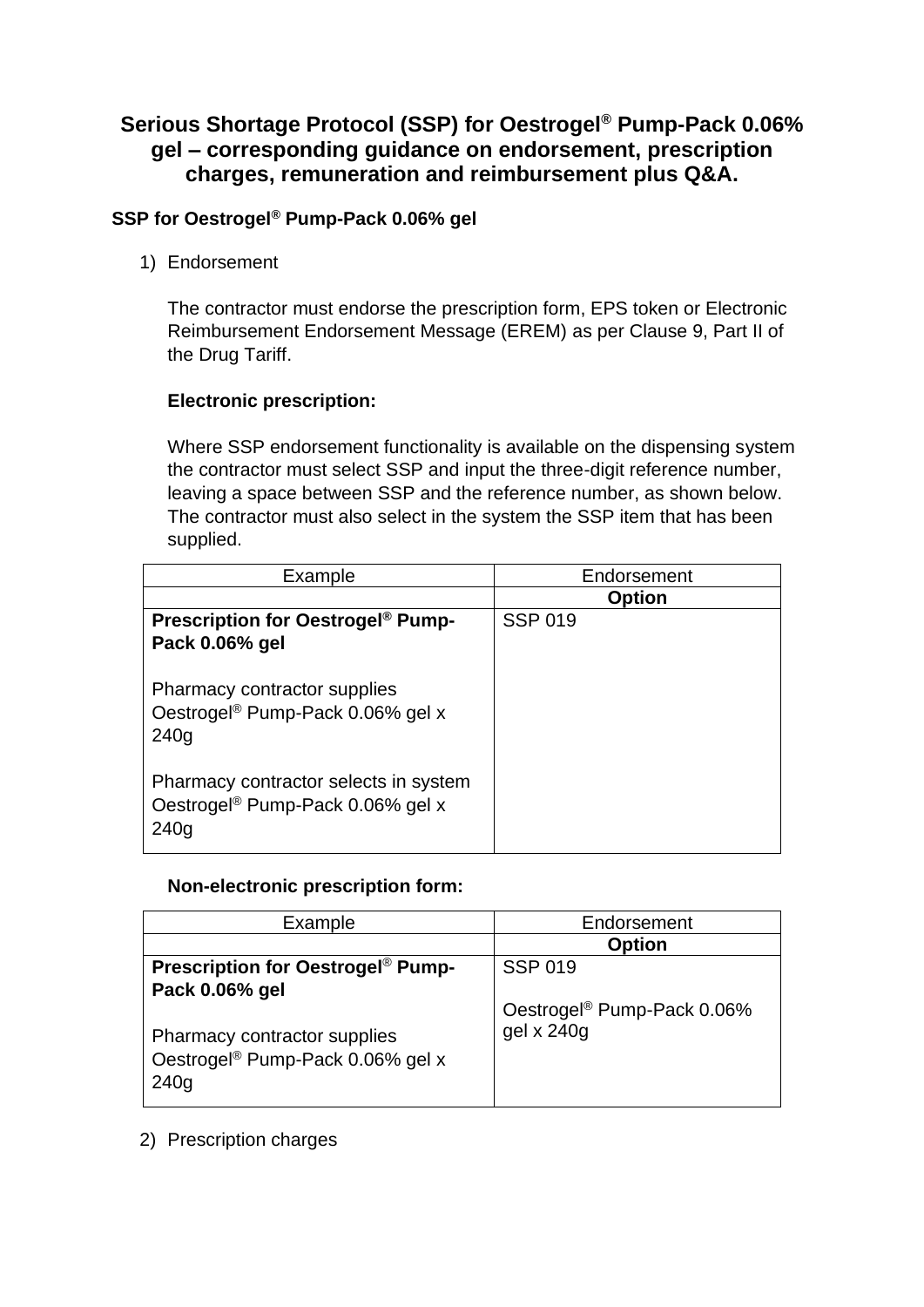# **Serious Shortage Protocol (SSP) for Oestrogel® Pump-Pack 0.06% gel – corresponding guidance on endorsement, prescription charges, remuneration and reimbursement plus Q&A.**

## **SSP for Oestrogel® Pump-Pack 0.06% gel**

1) Endorsement

The contractor must endorse the prescription form, EPS token or Electronic Reimbursement Endorsement Message (EREM) as per Clause 9, Part II of the Drug Tariff.

### **Electronic prescription:**

Where SSP endorsement functionality is available on the dispensing system the contractor must select SSP and input the three-digit reference number, leaving a space between SSP and the reference number, as shown below. The contractor must also select in the system the SSP item that has been supplied.

| Example                                                                                       | Endorsement    |
|-----------------------------------------------------------------------------------------------|----------------|
|                                                                                               | <b>Option</b>  |
| <b>Prescription for Oestrogel<sup>®</sup> Pump-</b><br>Pack 0.06% gel                         | <b>SSP 019</b> |
| Pharmacy contractor supplies<br>Oestrogel <sup>®</sup> Pump-Pack 0.06% gel x<br>240q          |                |
| Pharmacy contractor selects in system<br>Oestrogel <sup>®</sup> Pump-Pack 0.06% gel x<br>240q |                |

#### **Non-electronic prescription form:**

| Example                                                                                                | Endorsement                                          |
|--------------------------------------------------------------------------------------------------------|------------------------------------------------------|
|                                                                                                        | <b>Option</b>                                        |
| <b>Prescription for Oestrogel<sup>®</sup> Pump-</b>                                                    | <b>SSP 019</b>                                       |
| Pack 0.06% gel<br>Pharmacy contractor supplies<br>Oestrogel <sup>®</sup> Pump-Pack 0.06% gel x<br>240q | Oestrogel <sup>®</sup> Pump-Pack 0.06%<br>gel x 240g |

2) Prescription charges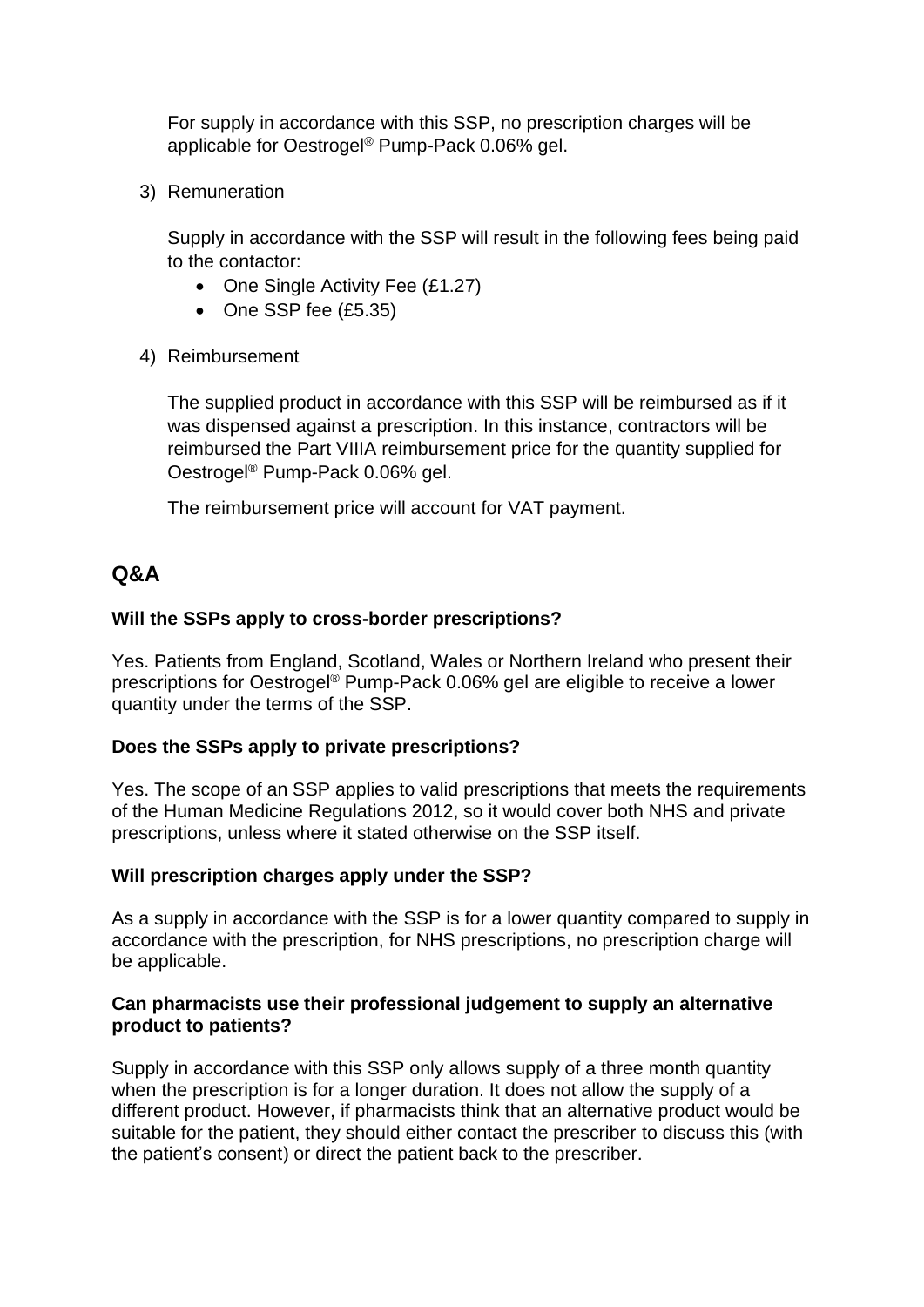For supply in accordance with this SSP, no prescription charges will be applicable for Oestrogel® Pump-Pack 0.06% gel.

3) Remuneration

Supply in accordance with the SSP will result in the following fees being paid to the contactor:

- One Single Activity Fee (£1.27)
- One SSP fee (£5.35)
- 4) Reimbursement

The supplied product in accordance with this SSP will be reimbursed as if it was dispensed against a prescription. In this instance, contractors will be reimbursed the Part VIIIA reimbursement price for the quantity supplied for Oestrogel® Pump-Pack 0.06% gel.

The reimbursement price will account for VAT payment.

# **Q&A**

## **Will the SSPs apply to cross-border prescriptions?**

Yes. Patients from England, Scotland, Wales or Northern Ireland who present their prescriptions for Oestrogel® Pump-Pack 0.06% gel are eligible to receive a lower quantity under the terms of the SSP.

## **Does the SSPs apply to private prescriptions?**

Yes. The scope of an SSP applies to valid prescriptions that meets the requirements of the Human Medicine Regulations 2012, so it would cover both NHS and private prescriptions, unless where it stated otherwise on the SSP itself.

#### **Will prescription charges apply under the SSP?**

As a supply in accordance with the SSP is for a lower quantity compared to supply in accordance with the prescription, for NHS prescriptions, no prescription charge will be applicable.

### **Can pharmacists use their professional judgement to supply an alternative product to patients?**

Supply in accordance with this SSP only allows supply of a three month quantity when the prescription is for a longer duration. It does not allow the supply of a different product. However, if pharmacists think that an alternative product would be suitable for the patient, they should either contact the prescriber to discuss this (with the patient's consent) or direct the patient back to the prescriber.